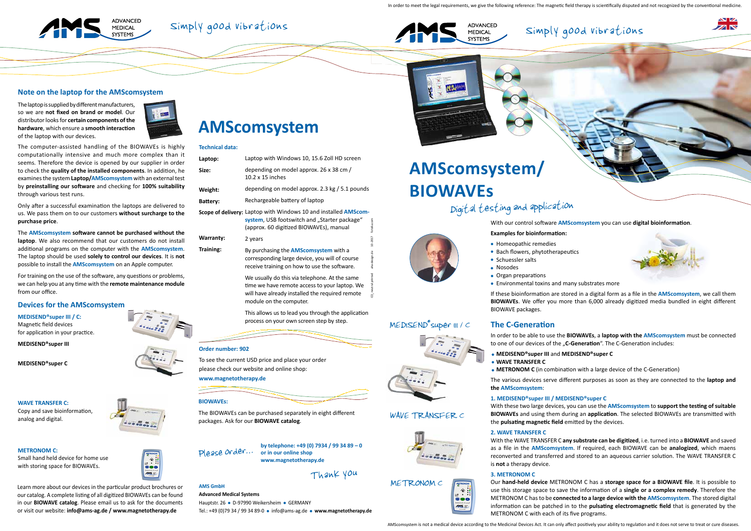## Simply good vibrations



With our control software **AMScomsystem** you can use **digital bioinformation**.



**Examples for bioinformation:**

In order to be able to use the **BIOWAVEs**, a **laptop with the AMScomsystem** must be connected to one of our devices of the "**C-Generation**". The C-Generation includes:

- Homeopathic remedies
- Bach flowers, phytotherapeutics
- Schuessler salts
- Nosodes
- Organ preparations
- Environmental toxins and many substrates more

If these bioinformation are stored in a digital form as a file in the **AMScomsystem**, we call them **BIOWAVEs**. We offer you more than 6,000 already digitized media bundled in eight different

BIOWAVE packages.

## **The C-Generation**

- **MEDISEND®super III** and **MEDISEND®super C**
- **WAVE TRANSFER C**
- 

 **METRONOM C** (in combination with a large device of the C-Generation)

The various devices serve different purposes as soon as they are connected to the **laptop and** 

**the AMScomsystem**:

## **1. MEDISEND®super III / MEDISEND®super C**

With these two large devices, you can use the **AMScomsystem** to **support the testing of suitable BIOWAVEs** and using them during an **application**. The selected BIOWAVEs are transmitted with the **pulsating magnetic field** emitted by the devices.

## **2. WAVE TRANSFER C**

With the WAVE TRANSFER C **any substrate can be digitized**, i.e. turned into a **BIOWAVE** and saved as a file in the **AMScomsystem**. If required, each BIOWAVE can be **analogized**, which maens reconverted and transferred and stored to an aqueous carrier solution. The WAVE TRANSFER C is **not** a therapy device.

## **3. METRONOM C**

Our **hand-held device** METRONOM C has a **storage space for a BIOWAVE file**. It is possible to use this storage space to save the information of a **single or a complex remedy**. Therefore the METRONOM C has to be **connected to a large device with the AMScomsystem**. The stored digital information can be patched in to the **pulsating electromagnetic field** that is generated by the METRONOM C with each of its five programs.

## **Technical data:**

### **Order number: 902**

To see the current USD price and place your order please check our website and online shop: **www.magnetotherapy.de**

## Digital testing and application

In order to meet the legal requirements, we give the following reference: The magnetic field therapy is scientifically disputed and not recognized by the conventional medicine.



## Simply good vibrations



The computer-assisted handling of the BIOWAVEs is highly computationally intensive and much more complex than it seems. Therefore the device is opened by our supplier in order to check the **quality of the installed components**. In addition, he examines the system **Laptop/AMScomsystem** with an external test by **preinstalling our software** and checking for **100% suitability**  through various test runs.

Only after a successful examination the laptops are delivered to us. We pass them on to our customers **without surcharge to the purchase price**.

The **AMScomsystem software cannot be purchased without the laptop**. We also recommend that our customers do not install additional programs on the computer with the **AMScomsystem**. The laptop should be used **solely to control our devices**. It is **not**  possible to install the **AMScomsystem** on an Apple computer.

| Laptop:          | Laptop with Windows 10, 15.6 Zoll HD screen                                                                                                                                  |                                 |
|------------------|------------------------------------------------------------------------------------------------------------------------------------------------------------------------------|---------------------------------|
| Size:            | depending on model approx. 26 x 38 cm /<br>$10.2 \times 15$ inches                                                                                                           |                                 |
| Weight:          | depending on model approx. 2.3 kg $/$ 5.1 pounds                                                                                                                             |                                 |
| Battery:         | Rechargeable battery of laptop                                                                                                                                               |                                 |
|                  | Scope of delivery: Laptop with Windows 10 and installed AMScom-<br>system, USB footswitch and "Starter package"<br>(approx. 60 digitized BIOWAVEs), manual                   | fotolia.com                     |
| <b>Warranty:</b> | 2 years                                                                                                                                                                      | 10-2017                         |
| Training:        | By purchasing the <b>AMScomsystem</b> with a<br>corresponding large device, you will of course<br>receive training on how to use the software.                               | aha-design.de                   |
|                  | We usually do this via telephone. At the same<br>time we have remote access to your laptop. We<br>will have already installed the required remote<br>module on the computer. | CO <sub>2</sub> neutral printed |
|                  |                                                                                                                                                                              |                                 |

For training on the use of the software, any questions or problems, we can help you at any time with the **remote maintenance module**  from our office.

## **Note on the laptop for the AMScomsystem**

# **AMScomsystem**



 $\frac{1}{2}$  $\bullet\bullet\bullet$ ms.



**MEDISEND®super III / C:**

Magnetic field devices for application in your practice.

**MEDISEND®super III** 

**MEDISEND®super C** 

## **WAVE TRANSFER C:**

Copy and save bioinformation, analog and digital.



### **METRONOM C:**

Small hand held device for home use with storing space for BIOWAVEs.



## **Devices for the AMScomsystem**

This allows us to lead you through the application process on your own screen step by step.

The laptop is supplied by different manufacturers, so we are **not fixed on brand or model**. Our distributor looks for **certain components of the hardware**, which ensure a **smooth interaction**  of the laptop with our devices.



Learn more about our devices in the particular product brochures or our catalog. A complete listing of all digitized BIOWAVEs can be found in our **BIOWAVE catalog**. Please email us to ask for the documents or visit our website: **info@ams-ag.de / www.magnetotherapy.de**

## **AMS GmbH**

## **Advanced Medical Systems**

Hauptstr. 26 · D-97990 Weikersheim · GERMANY

Tel.: +49 (0)79 34 / 99 34 89-0 info@ams-ag.de **www.magnetotherapy.de**

**by telephone: +49 (0) 7934 / 99 34 89 – 0 or in our online shop www.magnetotherapy.de**



## Thank you

MED1SEND® super 111 / C

WAVE TRANSFER C

METRONOM C



**BIOWAVEs:**

The BIOWAVEs can be purchased separately in eight different packages. Ask for our **BIOWAVE catalog**.



# **BIOWAVEs**